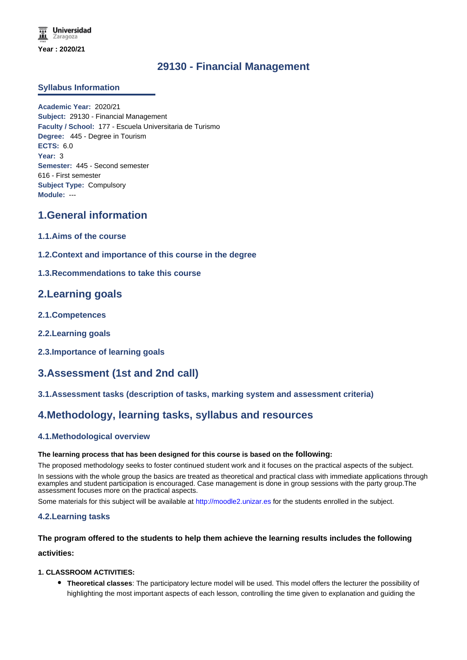## **29130 - Financial Management**

### **Syllabus Information**

**Academic Year:** 2020/21 **Subject:** 29130 - Financial Management **Faculty / School:** 177 - Escuela Universitaria de Turismo **Degree:** 445 - Degree in Tourism **ECTS:** 6.0 **Year:** 3 **Semester:** 445 - Second semester 616 - First semester **Subject Type:** Compulsory **Module:** ---

# **1.General information**

- **1.1.Aims of the course**
- **1.2.Context and importance of this course in the degree**
- **1.3.Recommendations to take this course**

## **2.Learning goals**

- **2.1.Competences**
- **2.2.Learning goals**
- **2.3.Importance of learning goals**

# **3.Assessment (1st and 2nd call)**

### **3.1.Assessment tasks (description of tasks, marking system and assessment criteria)**

# **4.Methodology, learning tasks, syllabus and resources**

### **4.1.Methodological overview**

#### **The learning process that has been designed for this course is based on the following:**

The proposed methodology seeks to foster continued student work and it focuses on the practical aspects of the subject.

In sessions with the whole group the basics are treated as theoretical and practical class with immediate applications through examples and student participation is encouraged. Case management is done in group sessions with the party group.The assessment focuses more on the practical aspects.

Some materials for this subject will be available at http://moodle2.unizar.es for the students enrolled in the subject.

### **4.2.Learning tasks**

## **The program offered to the students to help them achieve the learning results includes the following activities:**

### **1. CLASSROOM ACTIVITIES:**

**Theoretical classes**: The participatory lecture model will be used. This model offers the lecturer the possibility of highlighting the most important aspects of each lesson, controlling the time given to explanation and guiding the